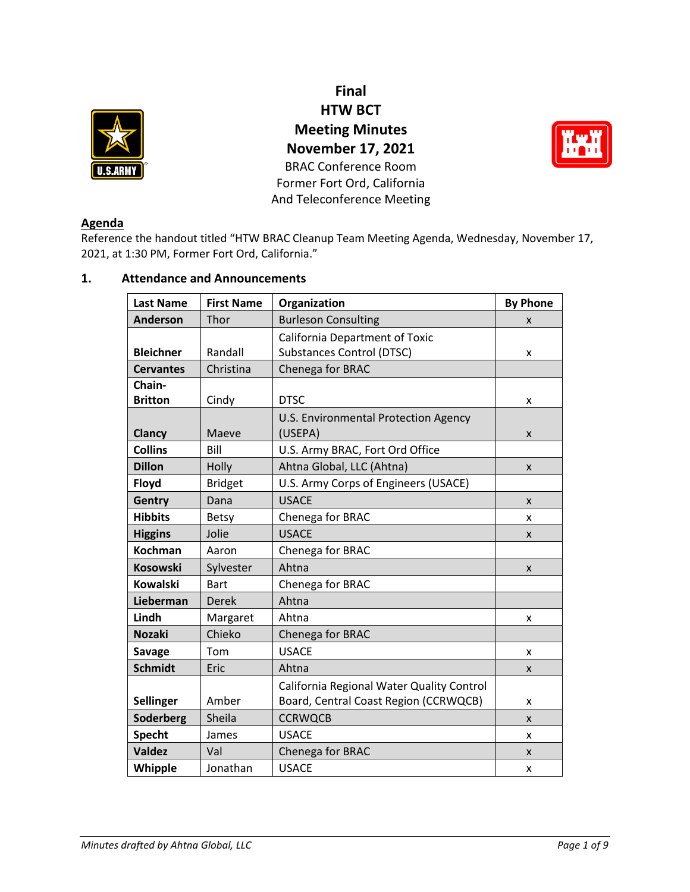

**Final HTW BCT Meeting Minutes November 17, 2021** BRAC Conference Room Former Fort Ord, California And Teleconference Meeting



# **Agenda**

Reference the handout titled "HTW BRAC Cleanup Team Meeting Agenda, Wednesday, November 17, 2021, at 1:30 PM, Former Fort Ord, California."

# **1. Attendance and Announcements**

| <b>Last Name</b> | <b>First Name</b> | Organization                              | <b>By Phone</b> |
|------------------|-------------------|-------------------------------------------|-----------------|
| Anderson         | Thor              | <b>Burleson Consulting</b>                | X               |
|                  |                   | <b>California Department of Toxic</b>     |                 |
| <b>Bleichner</b> | Randall           | <b>Substances Control (DTSC)</b>          | x               |
| <b>Cervantes</b> | Christina         | Chenega for BRAC                          |                 |
| Chain-           |                   |                                           |                 |
| <b>Britton</b>   | Cindy             | <b>DTSC</b>                               | x               |
|                  |                   | U.S. Environmental Protection Agency      |                 |
| Clancy           | Maeve             | (USEPA)                                   | X               |
| <b>Collins</b>   | Bill              | U.S. Army BRAC, Fort Ord Office           |                 |
| <b>Dillon</b>    | Holly             | Ahtna Global, LLC (Ahtna)                 | X               |
| Floyd            | <b>Bridget</b>    | U.S. Army Corps of Engineers (USACE)      |                 |
| Gentry           | Dana              | <b>USACE</b>                              | X               |
| <b>Hibbits</b>   | <b>Betsy</b>      | Chenega for BRAC                          | x               |
| <b>Higgins</b>   | Jolie             | <b>USACE</b>                              | X               |
| <b>Kochman</b>   | Aaron             | Chenega for BRAC                          |                 |
| <b>Kosowski</b>  | Sylvester         | Ahtna                                     | X               |
| <b>Kowalski</b>  | <b>Bart</b>       | Chenega for BRAC                          |                 |
| Lieberman        | <b>Derek</b>      | Ahtna                                     |                 |
| Lindh            | Margaret          | Ahtna                                     | x               |
| <b>Nozaki</b>    | Chieko            | Chenega for BRAC                          |                 |
| <b>Savage</b>    | Tom               | <b>USACE</b>                              | x               |
| <b>Schmidt</b>   | Eric              | Ahtna                                     | X               |
|                  |                   | California Regional Water Quality Control |                 |
| <b>Sellinger</b> | Amber             | Board, Central Coast Region (CCRWQCB)     | x               |
| Soderberg        | Sheila            | <b>CCRWQCB</b>                            | $\mathsf{x}$    |
| <b>Specht</b>    | James             | <b>USACE</b>                              | x               |
| <b>Valdez</b>    | Val               | Chenega for BRAC                          | X               |
| Whipple          | Jonathan          | <b>USACE</b>                              | x               |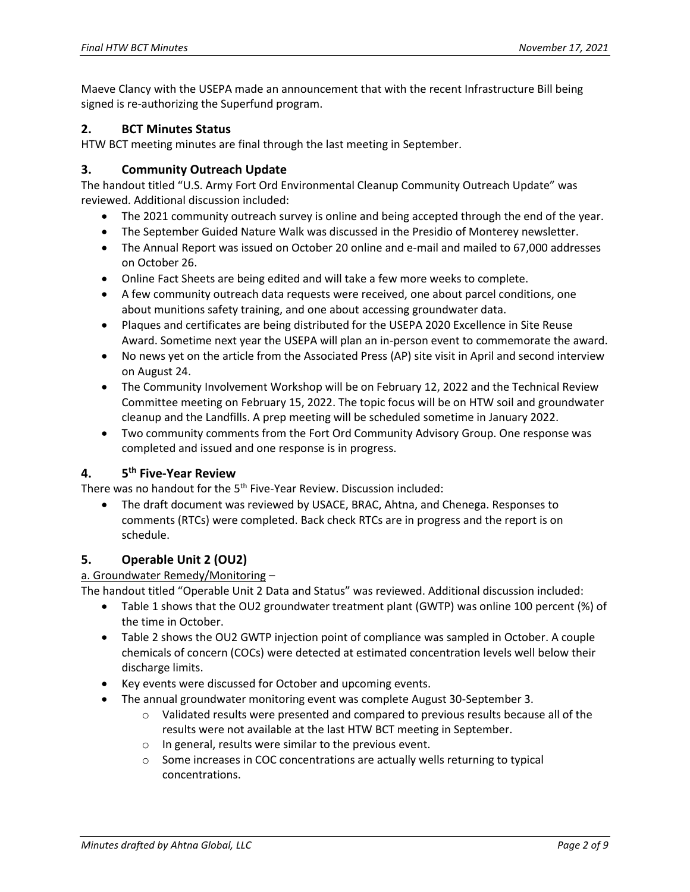Maeve Clancy with the USEPA made an announcement that with the recent Infrastructure Bill being signed is re-authorizing the Superfund program.

## **2. BCT Minutes Status**

HTW BCT meeting minutes are final through the last meeting in September.

### **3. Community Outreach Update**

The handout titled "U.S. Army Fort Ord Environmental Cleanup Community Outreach Update" was reviewed. Additional discussion included:

- The 2021 community outreach survey is online and being accepted through the end of the year.
- The September Guided Nature Walk was discussed in the Presidio of Monterey newsletter.
- The Annual Report was issued on October 20 online and e-mail and mailed to 67,000 addresses on October 26.
- Online Fact Sheets are being edited and will take a few more weeks to complete.
- A few community outreach data requests were received, one about parcel conditions, one about munitions safety training, and one about accessing groundwater data.
- Plaques and certificates are being distributed for the USEPA 2020 Excellence in Site Reuse Award. Sometime next year the USEPA will plan an in-person event to commemorate the award.
- No news yet on the article from the Associated Press (AP) site visit in April and second interview on August 24.
- The Community Involvement Workshop will be on February 12, 2022 and the Technical Review Committee meeting on February 15, 2022. The topic focus will be on HTW soil and groundwater cleanup and the Landfills. A prep meeting will be scheduled sometime in January 2022.
- Two community comments from the Fort Ord Community Advisory Group. One response was completed and issued and one response is in progress.

#### **4. 5 th Five-Year Review**

There was no handout for the 5<sup>th</sup> Five-Year Review. Discussion included:

• The draft document was reviewed by USACE, BRAC, Ahtna, and Chenega. Responses to comments (RTCs) were completed. Back check RTCs are in progress and the report is on schedule.

# **5. Operable Unit 2 (OU2)**

# a. Groundwater Remedy/Monitoring –

The handout titled "Operable Unit 2 Data and Status" was reviewed. Additional discussion included:

- Table 1 shows that the OU2 groundwater treatment plant (GWTP) was online 100 percent (%) of the time in October.
- Table 2 shows the OU2 GWTP injection point of compliance was sampled in October. A couple chemicals of concern (COCs) were detected at estimated concentration levels well below their discharge limits.
- Key events were discussed for October and upcoming events.
- The annual groundwater monitoring event was complete August 30-September 3.
	- $\circ$  Validated results were presented and compared to previous results because all of the results were not available at the last HTW BCT meeting in September.
	- o In general, results were similar to the previous event.
	- $\circ$  Some increases in COC concentrations are actually wells returning to typical concentrations.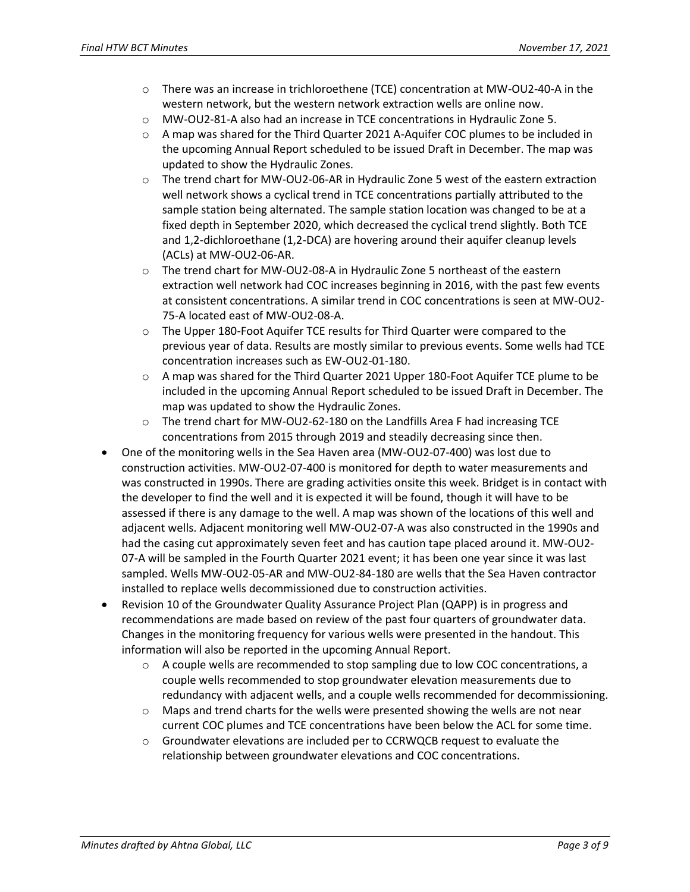- o There was an increase in trichloroethene (TCE) concentration at MW-OU2-40-A in the western network, but the western network extraction wells are online now.
- o MW-OU2-81-A also had an increase in TCE concentrations in Hydraulic Zone 5.
- $\circ$  A map was shared for the Third Quarter 2021 A-Aquifer COC plumes to be included in the upcoming Annual Report scheduled to be issued Draft in December. The map was updated to show the Hydraulic Zones.
- $\circ$  The trend chart for MW-OU2-06-AR in Hydraulic Zone 5 west of the eastern extraction well network shows a cyclical trend in TCE concentrations partially attributed to the sample station being alternated. The sample station location was changed to be at a fixed depth in September 2020, which decreased the cyclical trend slightly. Both TCE and 1,2-dichloroethane (1,2-DCA) are hovering around their aquifer cleanup levels (ACLs) at MW-OU2-06-AR.
- o The trend chart for MW-OU2-08-A in Hydraulic Zone 5 northeast of the eastern extraction well network had COC increases beginning in 2016, with the past few events at consistent concentrations. A similar trend in COC concentrations is seen at MW-OU2- 75-A located east of MW-OU2-08-A.
- o The Upper 180-Foot Aquifer TCE results for Third Quarter were compared to the previous year of data. Results are mostly similar to previous events. Some wells had TCE concentration increases such as EW-OU2-01-180.
- o A map was shared for the Third Quarter 2021 Upper 180-Foot Aquifer TCE plume to be included in the upcoming Annual Report scheduled to be issued Draft in December. The map was updated to show the Hydraulic Zones.
- o The trend chart for MW-OU2-62-180 on the Landfills Area F had increasing TCE concentrations from 2015 through 2019 and steadily decreasing since then.
- One of the monitoring wells in the Sea Haven area (MW-OU2-07-400) was lost due to construction activities. MW-OU2-07-400 is monitored for depth to water measurements and was constructed in 1990s. There are grading activities onsite this week. Bridget is in contact with the developer to find the well and it is expected it will be found, though it will have to be assessed if there is any damage to the well. A map was shown of the locations of this well and adjacent wells. Adjacent monitoring well MW-OU2-07-A was also constructed in the 1990s and had the casing cut approximately seven feet and has caution tape placed around it. MW-OU2- 07-A will be sampled in the Fourth Quarter 2021 event; it has been one year since it was last sampled. Wells MW-OU2-05-AR and MW-OU2-84-180 are wells that the Sea Haven contractor installed to replace wells decommissioned due to construction activities.
- Revision 10 of the Groundwater Quality Assurance Project Plan (QAPP) is in progress and recommendations are made based on review of the past four quarters of groundwater data. Changes in the monitoring frequency for various wells were presented in the handout. This information will also be reported in the upcoming Annual Report.
	- $\circ$  A couple wells are recommended to stop sampling due to low COC concentrations, a couple wells recommended to stop groundwater elevation measurements due to redundancy with adjacent wells, and a couple wells recommended for decommissioning.
	- $\circ$  Maps and trend charts for the wells were presented showing the wells are not near current COC plumes and TCE concentrations have been below the ACL for some time.
	- $\circ$  Groundwater elevations are included per to CCRWQCB request to evaluate the relationship between groundwater elevations and COC concentrations.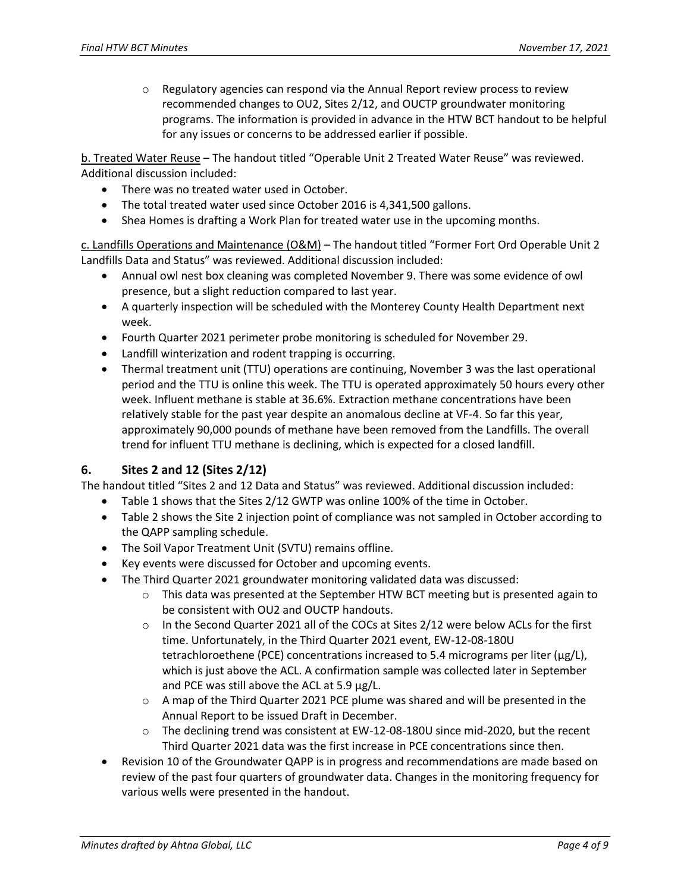$\circ$  Regulatory agencies can respond via the Annual Report review process to review recommended changes to OU2, Sites 2/12, and OUCTP groundwater monitoring programs. The information is provided in advance in the HTW BCT handout to be helpful for any issues or concerns to be addressed earlier if possible.

b. Treated Water Reuse – The handout titled "Operable Unit 2 Treated Water Reuse" was reviewed. Additional discussion included:

- There was no treated water used in October.
- The total treated water used since October 2016 is 4,341,500 gallons.
- Shea Homes is drafting a Work Plan for treated water use in the upcoming months.

c. Landfills Operations and Maintenance (O&M) – The handout titled "Former Fort Ord Operable Unit 2 Landfills Data and Status" was reviewed. Additional discussion included:

- Annual owl nest box cleaning was completed November 9. There was some evidence of owl presence, but a slight reduction compared to last year.
- A quarterly inspection will be scheduled with the Monterey County Health Department next week.
- Fourth Quarter 2021 perimeter probe monitoring is scheduled for November 29.
- Landfill winterization and rodent trapping is occurring.
- Thermal treatment unit (TTU) operations are continuing, November 3 was the last operational period and the TTU is online this week. The TTU is operated approximately 50 hours every other week. Influent methane is stable at 36.6%. Extraction methane concentrations have been relatively stable for the past year despite an anomalous decline at VF-4. So far this year, approximately 90,000 pounds of methane have been removed from the Landfills. The overall trend for influent TTU methane is declining, which is expected for a closed landfill.

# **6. Sites 2 and 12 (Sites 2/12)**

The handout titled "Sites 2 and 12 Data and Status" was reviewed. Additional discussion included:

- Table 1 shows that the Sites 2/12 GWTP was online 100% of the time in October.
- Table 2 shows the Site 2 injection point of compliance was not sampled in October according to the QAPP sampling schedule.
- The Soil Vapor Treatment Unit (SVTU) remains offline.
- Key events were discussed for October and upcoming events.
- The Third Quarter 2021 groundwater monitoring validated data was discussed:
	- $\circ$  This data was presented at the September HTW BCT meeting but is presented again to be consistent with OU2 and OUCTP handouts.
	- o In the Second Quarter 2021 all of the COCs at Sites 2/12 were below ACLs for the first time. Unfortunately, in the Third Quarter 2021 event, EW-12-08-180U tetrachloroethene (PCE) concentrations increased to 5.4 micrograms per liter ( $\mu$ g/L), which is just above the ACL. A confirmation sample was collected later in September and PCE was still above the ACL at 5.9 µg/L.
	- $\circ$  A map of the Third Quarter 2021 PCE plume was shared and will be presented in the Annual Report to be issued Draft in December.
	- $\circ$  The declining trend was consistent at EW-12-08-180U since mid-2020, but the recent Third Quarter 2021 data was the first increase in PCE concentrations since then.
- Revision 10 of the Groundwater QAPP is in progress and recommendations are made based on review of the past four quarters of groundwater data. Changes in the monitoring frequency for various wells were presented in the handout.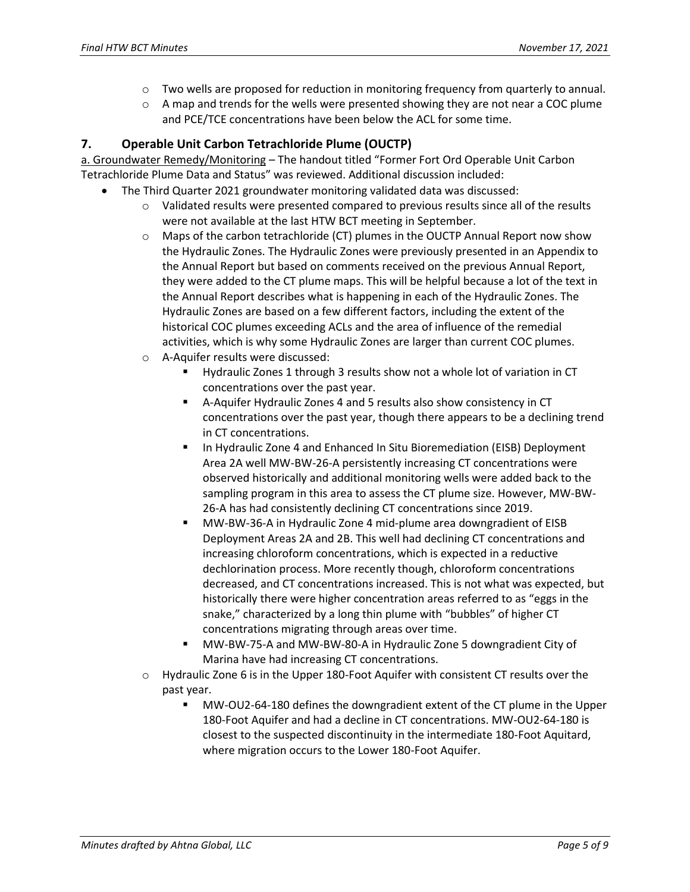- $\circ$  Two wells are proposed for reduction in monitoring frequency from quarterly to annual.
- $\circ$  A map and trends for the wells were presented showing they are not near a COC plume and PCE/TCE concentrations have been below the ACL for some time.

# **7. Operable Unit Carbon Tetrachloride Plume (OUCTP)**

a. Groundwater Remedy/Monitoring – The handout titled "Former Fort Ord Operable Unit Carbon Tetrachloride Plume Data and Status" was reviewed. Additional discussion included:

- The Third Quarter 2021 groundwater monitoring validated data was discussed:
	- $\circ$  Validated results were presented compared to previous results since all of the results were not available at the last HTW BCT meeting in September.
	- o Maps of the carbon tetrachloride (CT) plumes in the OUCTP Annual Report now show the Hydraulic Zones. The Hydraulic Zones were previously presented in an Appendix to the Annual Report but based on comments received on the previous Annual Report, they were added to the CT plume maps. This will be helpful because a lot of the text in the Annual Report describes what is happening in each of the Hydraulic Zones. The Hydraulic Zones are based on a few different factors, including the extent of the historical COC plumes exceeding ACLs and the area of influence of the remedial activities, which is why some Hydraulic Zones are larger than current COC plumes.
	- o A-Aquifer results were discussed:
		- Hydraulic Zones 1 through 3 results show not a whole lot of variation in CT concentrations over the past year.
		- A-Aquifer Hydraulic Zones 4 and 5 results also show consistency in CT concentrations over the past year, though there appears to be a declining trend in CT concentrations.
		- In Hydraulic Zone 4 and Enhanced In Situ Bioremediation (EISB) Deployment Area 2A well MW-BW-26-A persistently increasing CT concentrations were observed historically and additional monitoring wells were added back to the sampling program in this area to assess the CT plume size. However, MW-BW-26-A has had consistently declining CT concentrations since 2019.
		- MW-BW-36-A in Hydraulic Zone 4 mid-plume area downgradient of EISB Deployment Areas 2A and 2B. This well had declining CT concentrations and increasing chloroform concentrations, which is expected in a reductive dechlorination process. More recently though, chloroform concentrations decreased, and CT concentrations increased. This is not what was expected, but historically there were higher concentration areas referred to as "eggs in the snake," characterized by a long thin plume with "bubbles" of higher CT concentrations migrating through areas over time.
		- MW-BW-75-A and MW-BW-80-A in Hydraulic Zone 5 downgradient City of Marina have had increasing CT concentrations.
	- $\circ$  Hydraulic Zone 6 is in the Upper 180-Foot Aquifer with consistent CT results over the past year.
		- MW-OU2-64-180 defines the downgradient extent of the CT plume in the Upper 180-Foot Aquifer and had a decline in CT concentrations. MW-OU2-64-180 is closest to the suspected discontinuity in the intermediate 180-Foot Aquitard, where migration occurs to the Lower 180-Foot Aquifer.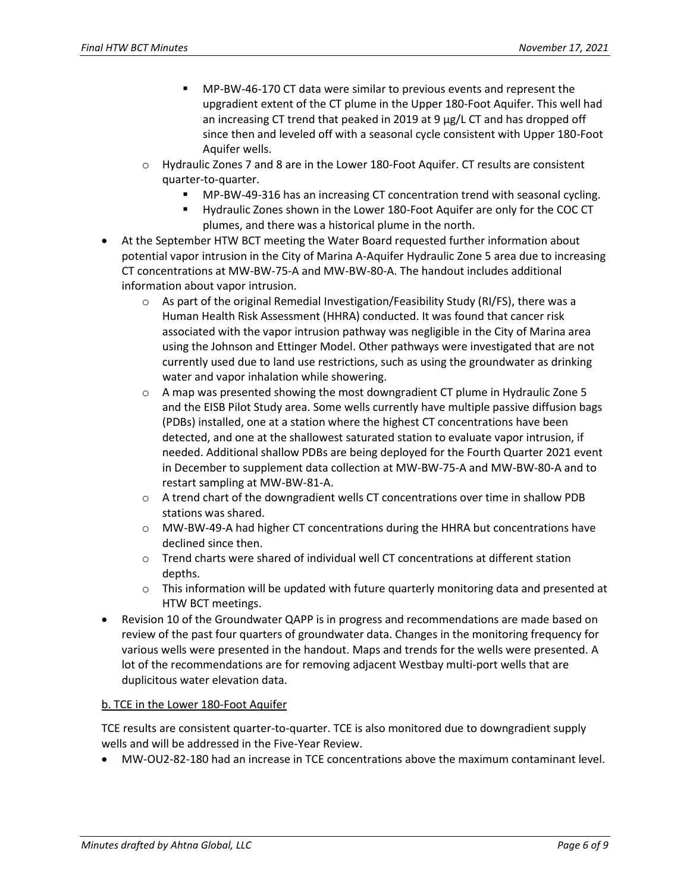- MP-BW-46-170 CT data were similar to previous events and represent the upgradient extent of the CT plume in the Upper 180-Foot Aquifer. This well had an increasing CT trend that peaked in 2019 at 9 µg/L CT and has dropped off since then and leveled off with a seasonal cycle consistent with Upper 180-Foot Aquifer wells.
- $\circ$  Hydraulic Zones 7 and 8 are in the Lower 180-Foot Aquifer. CT results are consistent quarter-to-quarter.
	- MP-BW-49-316 has an increasing CT concentration trend with seasonal cycling.
	- Hydraulic Zones shown in the Lower 180-Foot Aquifer are only for the COC CT plumes, and there was a historical plume in the north.
- At the September HTW BCT meeting the Water Board requested further information about potential vapor intrusion in the City of Marina A-Aquifer Hydraulic Zone 5 area due to increasing CT concentrations at MW-BW-75-A and MW-BW-80-A. The handout includes additional information about vapor intrusion.
	- $\circ$  As part of the original Remedial Investigation/Feasibility Study (RI/FS), there was a Human Health Risk Assessment (HHRA) conducted. It was found that cancer risk associated with the vapor intrusion pathway was negligible in the City of Marina area using the Johnson and Ettinger Model. Other pathways were investigated that are not currently used due to land use restrictions, such as using the groundwater as drinking water and vapor inhalation while showering.
	- $\circ$  A map was presented showing the most downgradient CT plume in Hydraulic Zone 5 and the EISB Pilot Study area. Some wells currently have multiple passive diffusion bags (PDBs) installed, one at a station where the highest CT concentrations have been detected, and one at the shallowest saturated station to evaluate vapor intrusion, if needed. Additional shallow PDBs are being deployed for the Fourth Quarter 2021 event in December to supplement data collection at MW-BW-75-A and MW-BW-80-A and to restart sampling at MW-BW-81-A.
	- $\circ$  A trend chart of the downgradient wells CT concentrations over time in shallow PDB stations was shared.
	- $\circ$  MW-BW-49-A had higher CT concentrations during the HHRA but concentrations have declined since then.
	- $\circ$  Trend charts were shared of individual well CT concentrations at different station depths.
	- $\circ$  This information will be updated with future quarterly monitoring data and presented at HTW BCT meetings.
- Revision 10 of the Groundwater QAPP is in progress and recommendations are made based on review of the past four quarters of groundwater data. Changes in the monitoring frequency for various wells were presented in the handout. Maps and trends for the wells were presented. A lot of the recommendations are for removing adjacent Westbay multi-port wells that are duplicitous water elevation data.

#### b. TCE in the Lower 180-Foot Aquifer

TCE results are consistent quarter-to-quarter. TCE is also monitored due to downgradient supply wells and will be addressed in the Five-Year Review.

• MW-OU2-82-180 had an increase in TCE concentrations above the maximum contaminant level.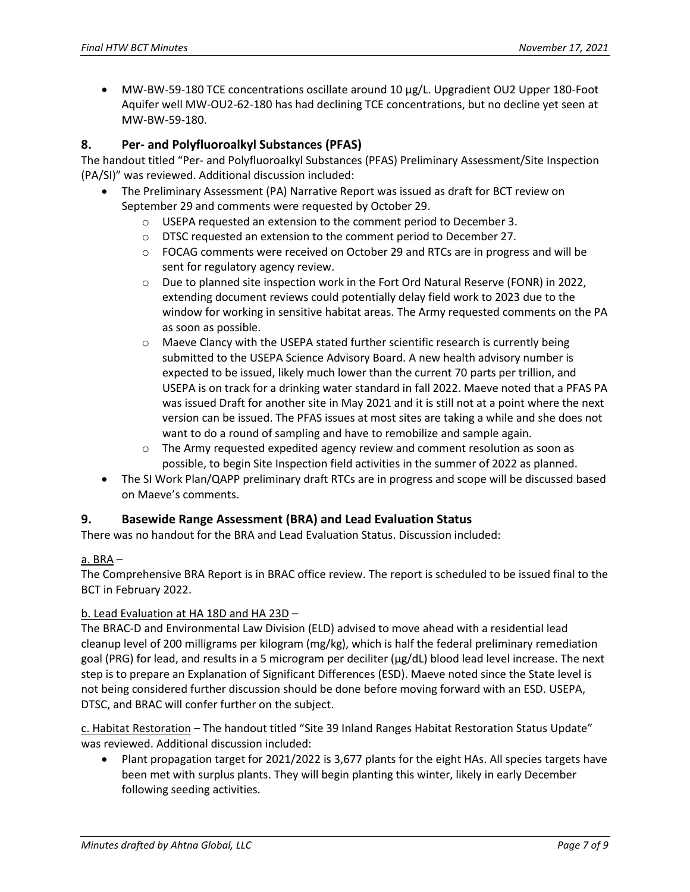• MW-BW-59-180 TCE concentrations oscillate around 10 µg/L. Upgradient OU2 Upper 180-Foot Aquifer well MW-OU2-62-180 has had declining TCE concentrations, but no decline yet seen at MW-BW-59-180.

# **8. Per- and Polyfluoroalkyl Substances (PFAS)**

The handout titled "Per- and Polyfluoroalkyl Substances (PFAS) Preliminary Assessment/Site Inspection (PA/SI)" was reviewed. Additional discussion included:

- The Preliminary Assessment (PA) Narrative Report was issued as draft for BCT review on September 29 and comments were requested by October 29.
	- o USEPA requested an extension to the comment period to December 3.
	- o DTSC requested an extension to the comment period to December 27.
	- $\circ$  FOCAG comments were received on October 29 and RTCs are in progress and will be sent for regulatory agency review.
	- o Due to planned site inspection work in the Fort Ord Natural Reserve (FONR) in 2022, extending document reviews could potentially delay field work to 2023 due to the window for working in sensitive habitat areas. The Army requested comments on the PA as soon as possible.
	- $\circ$  Maeve Clancy with the USEPA stated further scientific research is currently being submitted to the USEPA Science Advisory Board. A new health advisory number is expected to be issued, likely much lower than the current 70 parts per trillion, and USEPA is on track for a drinking water standard in fall 2022. Maeve noted that a PFAS PA was issued Draft for another site in May 2021 and it is still not at a point where the next version can be issued. The PFAS issues at most sites are taking a while and she does not want to do a round of sampling and have to remobilize and sample again.
	- o The Army requested expedited agency review and comment resolution as soon as possible, to begin Site Inspection field activities in the summer of 2022 as planned.
- The SI Work Plan/QAPP preliminary draft RTCs are in progress and scope will be discussed based on Maeve's comments.

# **9. Basewide Range Assessment (BRA) and Lead Evaluation Status**

There was no handout for the BRA and Lead Evaluation Status. Discussion included:

#### a.  $BRA -$

The Comprehensive BRA Report is in BRAC office review. The report is scheduled to be issued final to the BCT in February 2022.

#### b. Lead Evaluation at HA 18D and HA 23D –

The BRAC-D and Environmental Law Division (ELD) advised to move ahead with a residential lead cleanup level of 200 milligrams per kilogram (mg/kg), which is half the federal preliminary remediation goal (PRG) for lead, and results in a 5 microgram per deciliter (µg/dL) blood lead level increase. The next step is to prepare an Explanation of Significant Differences (ESD). Maeve noted since the State level is not being considered further discussion should be done before moving forward with an ESD. USEPA, DTSC, and BRAC will confer further on the subject.

c. Habitat Restoration – The handout titled "Site 39 Inland Ranges Habitat Restoration Status Update" was reviewed. Additional discussion included:

Plant propagation target for 2021/2022 is 3,677 plants for the eight HAs. All species targets have been met with surplus plants. They will begin planting this winter, likely in early December following seeding activities.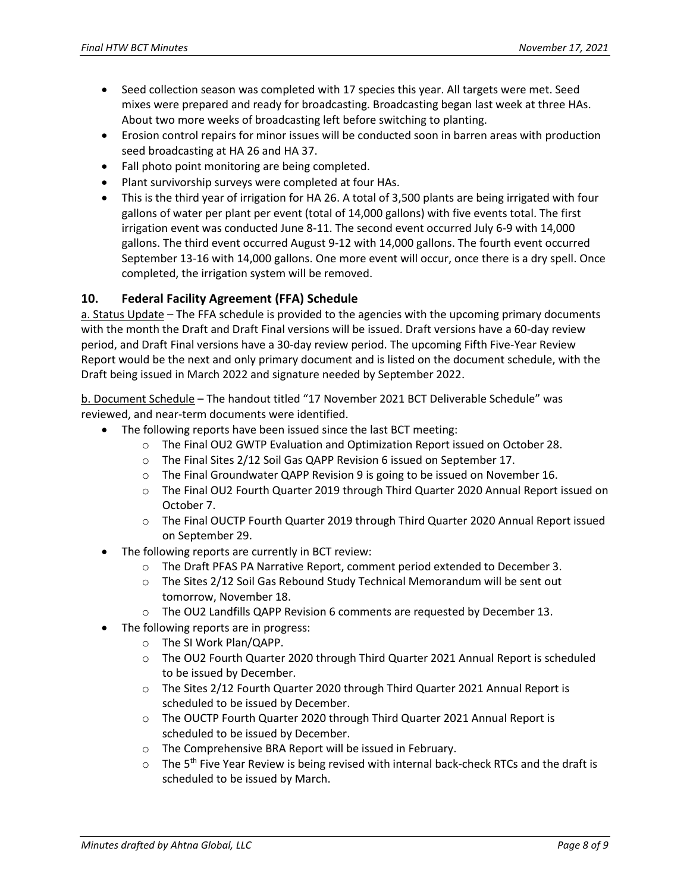- Seed collection season was completed with 17 species this year. All targets were met. Seed mixes were prepared and ready for broadcasting. Broadcasting began last week at three HAs. About two more weeks of broadcasting left before switching to planting.
- Erosion control repairs for minor issues will be conducted soon in barren areas with production seed broadcasting at HA 26 and HA 37.
- Fall photo point monitoring are being completed.
- Plant survivorship surveys were completed at four HAs.
- This is the third year of irrigation for HA 26. A total of 3,500 plants are being irrigated with four gallons of water per plant per event (total of 14,000 gallons) with five events total. The first irrigation event was conducted June 8-11. The second event occurred July 6-9 with 14,000 gallons. The third event occurred August 9-12 with 14,000 gallons. The fourth event occurred September 13-16 with 14,000 gallons. One more event will occur, once there is a dry spell. Once completed, the irrigation system will be removed.

# **10. Federal Facility Agreement (FFA) Schedule**

a. Status Update – The FFA schedule is provided to the agencies with the upcoming primary documents with the month the Draft and Draft Final versions will be issued. Draft versions have a 60-day review period, and Draft Final versions have a 30-day review period. The upcoming Fifth Five-Year Review Report would be the next and only primary document and is listed on the document schedule, with the Draft being issued in March 2022 and signature needed by September 2022.

b. Document Schedule – The handout titled "17 November 2021 BCT Deliverable Schedule" was reviewed, and near-term documents were identified.

- The following reports have been issued since the last BCT meeting:
	- o The Final OU2 GWTP Evaluation and Optimization Report issued on October 28.
	- o The Final Sites 2/12 Soil Gas QAPP Revision 6 issued on September 17.
	- $\circ$  The Final Groundwater QAPP Revision 9 is going to be issued on November 16.
	- o The Final OU2 Fourth Quarter 2019 through Third Quarter 2020 Annual Report issued on October 7.
	- o The Final OUCTP Fourth Quarter 2019 through Third Quarter 2020 Annual Report issued on September 29.
- The following reports are currently in BCT review:
	- o The Draft PFAS PA Narrative Report, comment period extended to December 3.
	- o The Sites 2/12 Soil Gas Rebound Study Technical Memorandum will be sent out tomorrow, November 18.
	- o The OU2 Landfills QAPP Revision 6 comments are requested by December 13.
	- The following reports are in progress:
		- o The SI Work Plan/QAPP.
		- o The OU2 Fourth Quarter 2020 through Third Quarter 2021 Annual Report is scheduled to be issued by December.
		- $\circ$  The Sites 2/12 Fourth Quarter 2020 through Third Quarter 2021 Annual Report is scheduled to be issued by December.
		- o The OUCTP Fourth Quarter 2020 through Third Quarter 2021 Annual Report is scheduled to be issued by December.
		- o The Comprehensive BRA Report will be issued in February.
		- $\circ$  The 5<sup>th</sup> Five Year Review is being revised with internal back-check RTCs and the draft is scheduled to be issued by March.